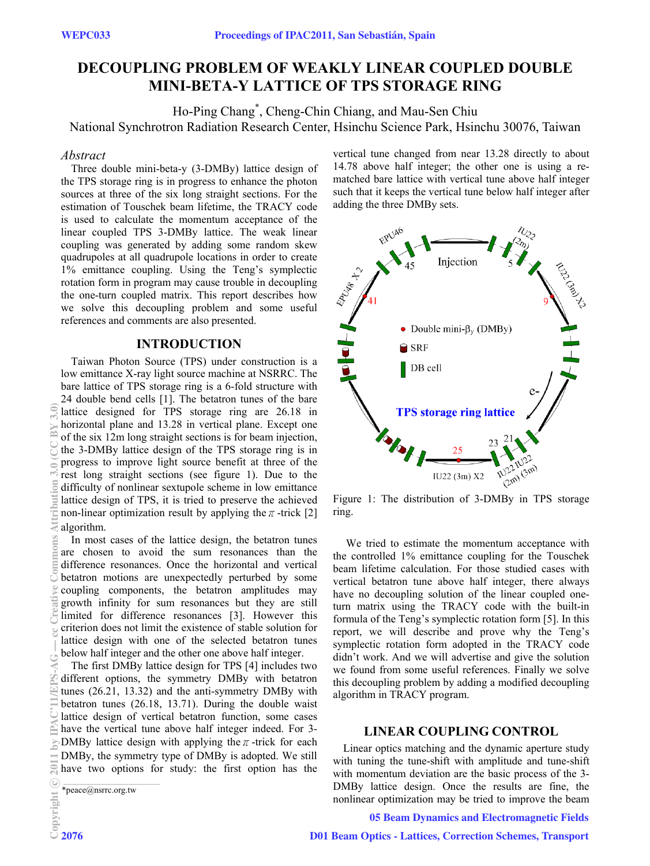# **DECOUPLING PROBLEM OF WEAKLY LINEAR COUPLED DOUBLE MINI-BETA-Y LATTICE OF TPS STORAGE RING**

Ho-Ping Chang\* , Cheng-Chin Chiang, and Mau-Sen Chiu National Synchrotron Radiation Research Center, Hsinchu Science Park, Hsinchu 30076, Taiwan

# *Abstract*

Three double mini-beta-y (3-DMBy) lattice design of the TPS storage ring is in progress to enhance the photon sources at three of the six long straight sections. For the estimation of Touschek beam lifetime, the TRACY code is used to calculate the momentum acceptance of the linear coupled TPS 3-DMBy lattice. The weak linear coupling was generated by adding some random skew quadrupoles at all quadrupole locations in order to create 1% emittance coupling. Using the Teng's symplectic rotation form in program may cause trouble in decoupling the one-turn coupled matrix. This report describes how we solve this decoupling problem and some useful references and comments are also presented.

# **INTRODUCTION**

Taiwan Photon Source (TPS) under construction is a low emittance X-ray light source machine at NSRRC. The bare lattice of TPS storage ring is a 6-fold structure with 24 double bend cells [1]. The betatron tunes of the bare lattice designed for TPS storage ring are 26.18 in horizontal plane and 13.28 in vertical plane. Except one of the six 12m long straight sections is for beam injection, the 3-DMBy lattice design of the TPS storage ring is in progress to improve light source benefit at three of the rest long straight sections (see figure 1). Due to the difficulty of nonlinear sextupole scheme in low emittance lattice design of TPS, it is tried to preserve the achieved non-linear optimization result by applying the  $\pi$ -trick [2] algorithm.

In most cases of the lattice design, the betatron tunes are chosen to avoid the sum resonances than the difference resonances. Once the horizontal and vertical betatron motions are unexpectedly perturbed by some coupling components, the betatron amplitudes may growth infinity for sum resonances but they are still limited for difference resonances [3]. However this criterion does not limit the existence of stable solution for lattice design with one of the selected betatron tunes below half integer and the other one above half integer.

The first DMBy lattice design for TPS [4] includes two different options, the symmetry DMBy with betatron tunes (26.21, 13.32) and the anti-symmetry DMBy with betatron tunes (26.18, 13.71). During the double waist lattice design of vertical betatron function, some cases have the vertical tune above half integer indeed. For 3- DMBy lattice design with applying the  $\pi$ -trick for each DMBy, the symmetry type of DMBy is adopted. We still have two options for study: the first option has the

\*peace@nsrrc.org.tw

vertical tune changed from near 13.28 directly to about 14.78 above half integer; the other one is using a rematched bare lattice with vertical tune above half integer such that it keeps the vertical tune below half integer after adding the three DMBy sets.



Figure 1: The distribution of 3-DMBy in TPS storage ring.

 We tried to estimate the momentum acceptance with the controlled 1% emittance coupling for the Touschek beam lifetime calculation. For those studied cases with vertical betatron tune above half integer, there always have no decoupling solution of the linear coupled oneturn matrix using the TRACY code with the built-in formula of the Teng's symplectic rotation form [5]. In this report, we will describe and prove why the Teng's symplectic rotation form adopted in the TRACY code didn't work. And we will advertise and give the solution we found from some useful references. Finally we solve this decoupling problem by adding a modified decoupling algorithm in TRACY program.

# **LINEAR COUPLING CONTROL**

Linear optics matching and the dynamic aperture study with tuning the tune-shift with amplitude and tune-shift with momentum deviation are the basic process of the 3- DMBy lattice design. Once the results are fine, the nonlinear optimization may be tried to improve the beam

# 05 Beam Dynamics and Electromagnetic Fields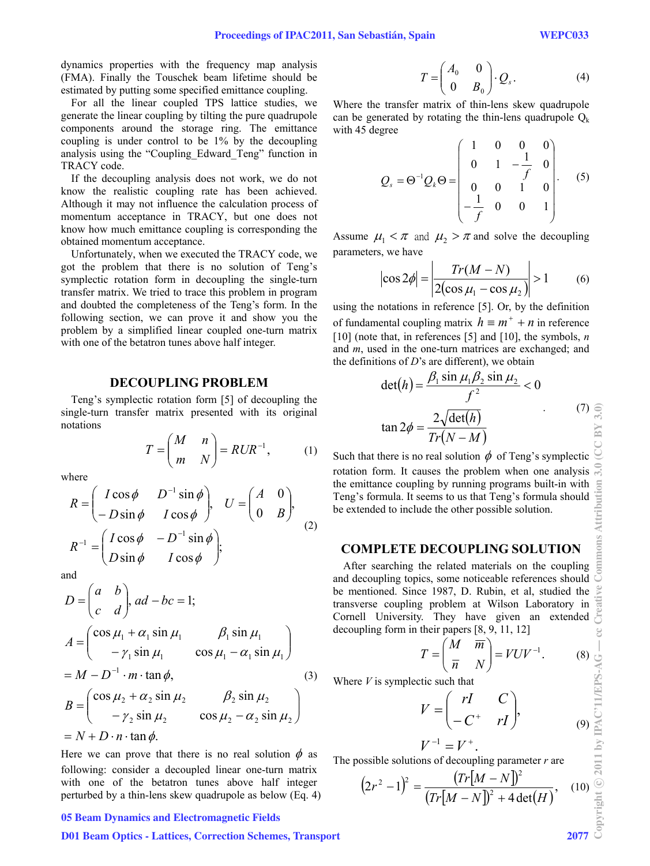dynamics properties with the frequency map analysis (FMA). Finally the Touschek beam lifetime should be estimated by putting some specified emittance coupling.

For all the linear coupled TPS lattice studies, we generate the linear coupling by tilting the pure quadrupole components around the storage ring. The emittance coupling is under control to be 1% by the decoupling analysis using the "Coupling\_Edward\_Teng" function in TRACY code.

If the decoupling analysis does not work, we do not know the realistic coupling rate has been achieved. Although it may not influence the calculation process of momentum acceptance in TRACY, but one does not know how much emittance coupling is corresponding the obtained momentum acceptance.

Unfortunately, when we executed the TRACY code, we got the problem that there is no solution of Teng's symplectic rotation form in decoupling the single-turn transfer matrix. We tried to trace this problem in program and doubted the completeness of the Teng's form. In the following section, we can prove it and show you the problem by a simplified linear coupled one-turn matrix with one of the betatron tunes above half integer.

## **DECOUPLING PROBLEM**

Teng's symplectic rotation form [5] of decoupling the single-turn transfer matrix presented with its original notations

$$
T = \begin{pmatrix} M & n \\ m & N \end{pmatrix} = RUR^{-1}, \quad (1)
$$

where

$$
R = \begin{pmatrix} I\cos\phi & D^{-1}\sin\phi \\ -D\sin\phi & I\cos\phi \end{pmatrix}, \quad U = \begin{pmatrix} A & 0 \\ 0 & B \end{pmatrix},
$$

$$
R^{-1} = \begin{pmatrix} I\cos\phi & -D^{-1}\sin\phi \\ D\sin\phi & I\cos\phi \end{pmatrix};
$$
(2)

and

$$
D = \begin{pmatrix} a & b \\ c & d \end{pmatrix}, ad - bc = 1;
$$
  
\n
$$
A = \begin{pmatrix} \cos \mu_1 + \alpha_1 \sin \mu_1 & \beta_1 \sin \mu_1 \\ -\gamma_1 \sin \mu_1 & \cos \mu_1 - \alpha_1 \sin \mu_1 \end{pmatrix}
$$
  
\n
$$
= M - D^{-1} \cdot m \cdot \tan \phi,
$$
  
\n
$$
B = \begin{pmatrix} \cos \mu_2 + \alpha_2 \sin \mu_2 & \beta_2 \sin \mu_2 \\ -\gamma_2 \sin \mu_2 & \cos \mu_2 - \alpha_2 \sin \mu_2 \end{pmatrix}
$$
  
\n
$$
= N + D \cdot n \cdot \tan \phi.
$$
 (3)

Here we can prove that there is no real solution  $\phi$  as following: consider a decoupled linear one-turn matrix with one of the betatron tunes above half integer perturbed by a thin-lens skew quadrupole as below (Eq. 4)

#### 05 Beam Dynamics and Electromagnetic Fields

### D01 Beam Optics - Lattices, Correction Schemes, Transport 2077

$$
T = \begin{pmatrix} A_0 & 0 \\ 0 & B_0 \end{pmatrix} \cdot Q_s.
$$
 (4)

Where the transfer matrix of thin-lens skew quadrupole can be generated by rotating the thin-lens quadrupole  $Q_k$ with 45 degree

$$
Q_s = \Theta^{-1} Q_k \Theta = \begin{pmatrix} 1 & 0 & 0 & 0 \\ 0 & 1 & -\frac{1}{f} & 0 \\ 0 & 0 & 1 & 0 \\ -\frac{1}{f} & 0 & 0 & 1 \end{pmatrix}.
$$
 (5)

Assume  $\mu_1 < \pi$  and  $\mu_2 > \pi$  and solve the decoupling parameters, we have

$$
\cos 2\phi \Big| = \Big| \frac{Tr(M - N)}{2(\cos \mu_1 - \cos \mu_2)} \Big| > 1 \qquad (6)
$$

using the notations in reference [5]. Or, by the definition of fundamental coupling matrix  $h \equiv m^+ + n$  in reference [10] (note that, in references [5] and [10], the symbols, *n* and *m*, used in the one-turn matrices are exchanged; and the definitions of *D*'s are different), we obtain

$$
\det(h) = \frac{\beta_1 \sin \mu_1 \beta_2 \sin \mu_2}{f^2} < 0
$$
  

$$
\tan 2\phi = \frac{2\sqrt{\det(h)}}{Tr(N-M)}
$$
 (7)

Such that there is no real solution  $\phi$  of Teng's symplectic rotation form. It causes the problem when one analysis the emittance coupling by running programs built-in with Teng's formula. It seems to us that Teng's formula should be extended to include the other possible solution.

# **COMPLETE DECOUPLING SOLUTION**

After searching the related materials on the coupling and decoupling topics, some noticeable references should be mentioned. Since 1987, D. Rubin, et al, studied the transverse coupling problem at Wilson Laboratory in Cornell University. They have given an extended decoupling form in their papers [8, 9, 11, 12]

$$
T = \begin{pmatrix} M & \overline{m} \\ \overline{n} & N \end{pmatrix} = VUV^{-1}.
$$
 (8)

Where *V* is symplectic such that

$$
V = \begin{pmatrix} rI & C \\ -C^+ & rI \end{pmatrix}, \tag{9}
$$

$$
V^{-1}=V^+.
$$

The possible solutions of decoupling parameter *r* are

$$
(2r2 - 1)2 = \frac{(Tr[M - N])2}{(Tr[M - N])2 + 4det(H)}, (10)
$$